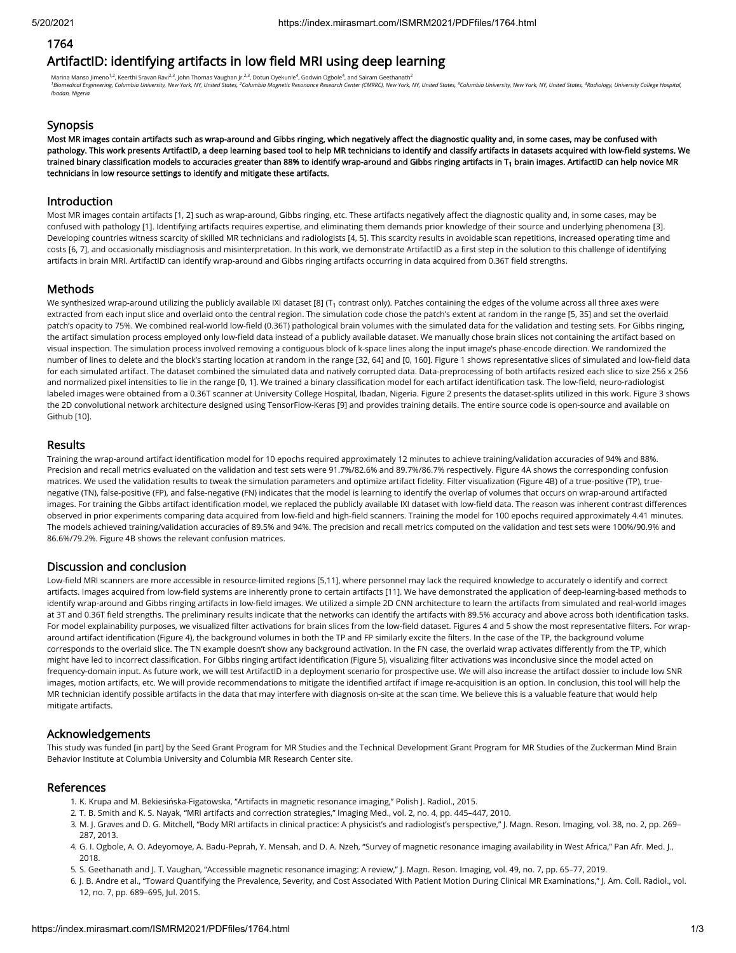## 1764

# ArtifactID: identifying artifacts in low field MRI using deep learning

Marina Manso Jimeno $^{1,2}$ , Keerthi Sravan Ravi $^{2,3}$ , John Thomas Vaughan Jr. $^{2,3}$ , Dotun Oyekunle $^4$ , Godwin Ogbole $^4$ , and Sairam Geethanath $^2$ <sup>1</sup>Biomedical Engineering, Columbia University, New York, NY, United States, <sup>2</sup>Columbia Magnetic Resonance Research Center (CMRRC), New York, NY, United States, <sup>3</sup>Columbia University, New York, NY, United States, <sup>3</sup>Colu *Ibadan, Nigeria*

## Synopsis

Most MR images contain artifacts such as wrap-around and Gibbs ringing, which negatively affect the diagnostic quality and, in some cases, may be confused with pathology. This work presents ArtifactID, a deep learning based tool to help MR technicians to identify and classify artifacts in datasets acquired with low-field systems. We trained binary classification models to accuracies greater than 88% to identify wrap-around and Gibbs ringing artifacts in T $_{\rm 1}$  brain images. ArtifactID can help novice MR technicians in low resource settings to identify and mitigate these artifacts.

#### Introduction

Most MR images contain artifacts [1, 2] such as wrap-around, Gibbs ringing, etc. These artifacts negatively affect the diagnostic quality and, in some cases, may be confused with pathology [1]. Identifying artifacts requires expertise, and eliminating them demands prior knowledge of their source and underlying phenomena [3]. Developing countries witness scarcity of skilled MR technicians and radiologists [4, 5]. This scarcity results in avoidable scan repetitions, increased operating time and costs [6, 7], and occasionally misdiagnosis and misinterpretation. In this work, we demonstrate ArtifactID as a first step in the solution to this challenge of identifying artifacts in brain MRI. ArtifactID can identify wrap-around and Gibbs ringing artifacts occurring in data acquired from 0.36T field strengths.

## **Methods**

We synthesized wrap-around utilizing the publicly available IXI dataset [8] (T $_{\rm 1}$  contrast only). Patches containing the edges of the volume across all three axes were extracted from each input slice and overlaid onto the central region. The simulation code chose the patch's extent at random in the range [5, 35] and set the overlaid patch's opacity to 75%. We combined real-world low-field (0.36T) pathological brain volumes with the simulated data for the validation and testing sets. For Gibbs ringing, the artifact simulation process employed only low-field data instead of a publicly available dataset. We manually chose brain slices not containing the artifact based on visual inspection. The simulation process involved removing a contiguous block of k-space lines along the input image's phase-encode direction. We randomized the number of lines to delete and the block's starting location at random in the range [32, 64] and [0, 160]. Figure 1 shows representative slices of simulated and low-field data for each simulated artifact. The dataset combined the simulated data and natively corrupted data. Data-preprocessing of both artifacts resized each slice to size 256 x 256 and normalized pixel intensities to lie in the range [0, 1]. We trained a binary classification model for each artifact identification task. The low-field, neuro-radiologist labeled images were obtained from a 0.36T scanner at University College Hospital, Ibadan, Nigeria. Figure 2 presents the dataset-splits utilized in this work. Figure 3 shows the 2D convolutional network architecture designed using TensorFlow-Keras [9] and provides training details. The entire source code is open-source and available on Github [10].

#### Results

Training the wrap-around artifact identification model for 10 epochs required approximately 12 minutes to achieve training/validation accuracies of 94% and 88%. Precision and recall metrics evaluated on the validation and test sets were 91.7%/82.6% and 89.7%/86.7% respectively. Figure 4A shows the corresponding confusion matrices. We used the validation results to tweak the simulation parameters and optimize artifact fidelity. Filter visualization (Figure 4B) of a true-positive (TP), truenegative (TN), false-positive (FP), and false-negative (FN) indicates that the model is learning to identify the overlap of volumes that occurs on wrap-around artifacted images. For training the Gibbs artifact identification model, we replaced the publicly available IXI dataset with low-field data. The reason was inherent contrast differences observed in prior experiments comparing data acquired from low-field and high-field scanners. Training the model for 100 epochs required approximately 4.41 minutes. The models achieved training/validation accuracies of 89.5% and 94%. The precision and recall metrics computed on the validation and test sets were 100%/90.9% and 86.6%/79.2%. Figure 4B shows the relevant confusion matrices.

## Discussion and conclusion

Low-field MRI scanners are more accessible in resource-limited regions [5,11], where personnel may lack the required knowledge to accurately o identify and correct artifacts. Images acquired from low-field systems are inherently prone to certain artifacts [11]. We have demonstrated the application of deep-learning-based methods to identify wrap-around and Gibbs ringing artifacts in low-field images. We utilized a simple 2D CNN architecture to learn the artifacts from simulated and real-world images at 3T and 0.36T field strengths. The preliminary results indicate that the networks can identify the artifacts with 89.5% accuracy and above across both identification tasks. For model explainability purposes, we visualized filter activations for brain slices from the low-field dataset. Figures 4 and 5 show the most representative filters. For wraparound artifact identification (Figure 4), the background volumes in both the TP and FP similarly excite the filters. In the case of the TP, the background volume corresponds to the overlaid slice. The TN example doesn't show any background activation. In the FN case, the overlaid wrap activates differently from the TP, which might have led to incorrect classification. For Gibbs ringing artifact identification (Figure 5), visualizing filter activations was inconclusive since the model acted on frequency-domain input. As future work, we will test ArtifactID in a deployment scenario for prospective use. We will also increase the artifact dossier to include low SNR images, motion artifacts, etc. We will provide recommendations to mitigate the identified artifact if image re-acquisition is an option. In conclusion, this tool will help the MR technician identify possible artifacts in the data that may interfere with diagnosis on-site at the scan time. We believe this is a valuable feature that would help mitigate artifacts.

## Acknowledgements

This study was funded [in part] by the Seed Grant Program for MR Studies and the Technical Development Grant Program for MR Studies of the Zuckerman Mind Brain Behavior Institute at Columbia University and Columbia MR Research Center site.

#### References

- 1. K. Krupa and M. Bekiesińska-Figatowska, "Artifacts in magnetic resonance imaging," Polish J. Radiol., 2015.
- 2. T. B. Smith and K. S. Nayak, "MRI artifacts and correction strategies," Imaging Med., vol. 2, no. 4, pp. 445–447, 2010.
- 3. M. J. Graves and D. G. Mitchell, "Body MRI artifacts in clinical practice: A physicist's and radiologist's perspective," J. Magn. Reson. Imaging, vol. 38, no. 2, pp. 269– 287, 2013.
- 4. G. I. Ogbole, A. O. Adeyomoye, A. Badu-Peprah, Y. Mensah, and D. A. Nzeh, "Survey of magnetic resonance imaging availability in West Africa," Pan Afr. Med. J., 2018.
- 5. S. Geethanath and J. T. Vaughan, "Accessible magnetic resonance imaging: A review," J. Magn. Reson. Imaging, vol. 49, no. 7, pp. 65–77, 2019.
- 6. J. B. Andre et al., "Toward Quantifying the Prevalence, Severity, and Cost Associated With Patient Motion During Clinical MR Examinations," J. Am. Coll. Radiol., vol. 12, no. 7, pp. 689–695, Jul. 2015.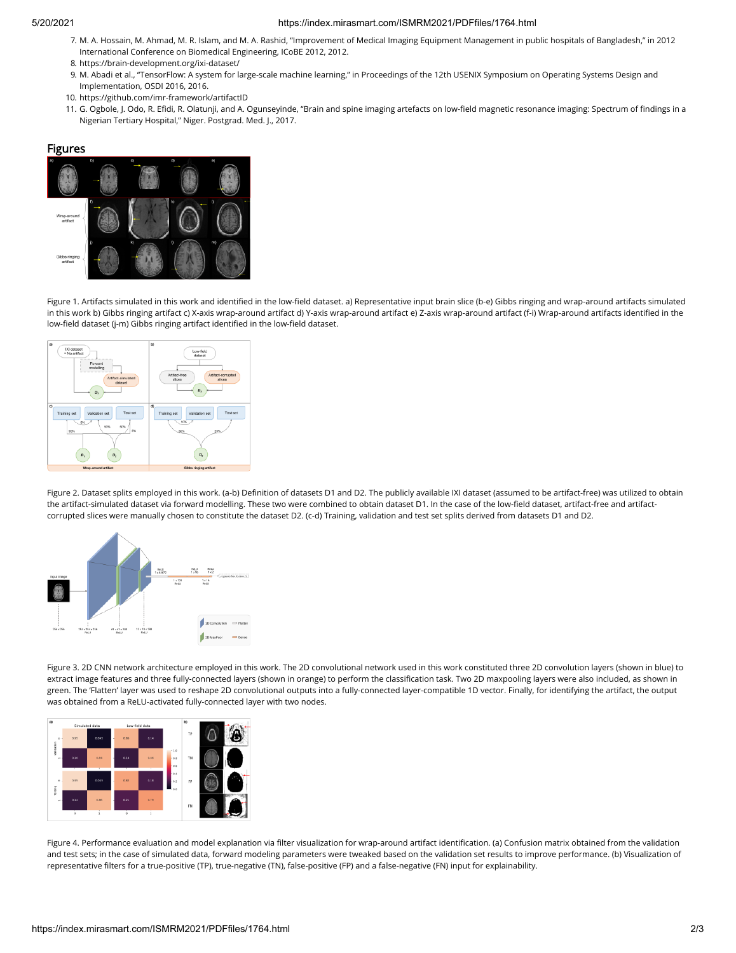#### 5/20/2021 https://index.mirasmart.com/ISMRM2021/PDFfiles/1764.html

- 7. M. A. Hossain, M. Ahmad, M. R. Islam, and M. A. Rashid, "Improvement of Medical Imaging Equipment Management in public hospitals of Bangladesh," in 2012 International Conference on Biomedical Engineering, ICoBE 2012, 2012.
- 8. https://brain-development.org/ixi-dataset/
- 9. M. Abadi et al., "TensorFlow: A system for large-scale machine learning," in Proceedings of the 12th USENIX Symposium on Operating Systems Design and Implementation, OSDI 2016, 2016.
- 10. https://github.com/imr-framework/artifactID
- 11. G. Ogbole, J. Odo, R. Efidi, R. Olatunji, and A. Ogunseyinde, "Brain and spine imaging artefacts on low-field magnetic resonance imaging: Spectrum of findings in a Nigerian Tertiary Hospital," Niger. Postgrad. Med. J., 2017.

#### Figures



Figure 1. Artifacts simulated in this work and identified in the low-field dataset. a) Representative input brain slice (b-e) Gibbs ringing and wrap-around artifacts simulated in this work b) Gibbs ringing artifact c) X-axis wrap-around artifact d) Y-axis wrap-around artifact e) Z-axis wrap-around artifact (f-i) Wrap-around artifacts identied in the low-field dataset (j-m) Gibbs ringing artifact identified in the low-field dataset.



Figure 2. Dataset splits employed in this work. (a-b) Definition of datasets D1 and D2. The publicly available IXI dataset (assumed to be artifact-free) was utilized to obtain the artifact-simulated dataset via forward modelling. These two were combined to obtain dataset D1. In the case of the low-field dataset, artifact-free and artifactcorrupted slices were manually chosen to constitute the dataset D2. (c-d) Training, validation and test set splits derived from datasets D1 and D2.



Figure 3. 2D CNN network architecture employed in this work. The 2D convolutional network used in this work constituted three 2D convolution layers (shown in blue) to extract image features and three fully-connected layers (shown in orange) to perform the classification task. Two 2D maxpooling layers were also included, as shown in green. The 'Flatten' layer was used to reshape 2D convolutional outputs into a fully-connected layer-compatible 1D vector. Finally, for identifying the artifact, the output was obtained from a ReLU-activated fully-connected layer with two nodes.



Figure 4. Performance evaluation and model explanation via filter visualization for wrap-around artifact identification. (a) Confusion matrix obtained from the validation and test sets; in the case of simulated data, forward modeling parameters were tweaked based on the validation set results to improve performance. (b) Visualization of representative filters for a true-positive (TP), true-negative (TN), false-positive (FP) and a false-negative (FN) input for explainability.